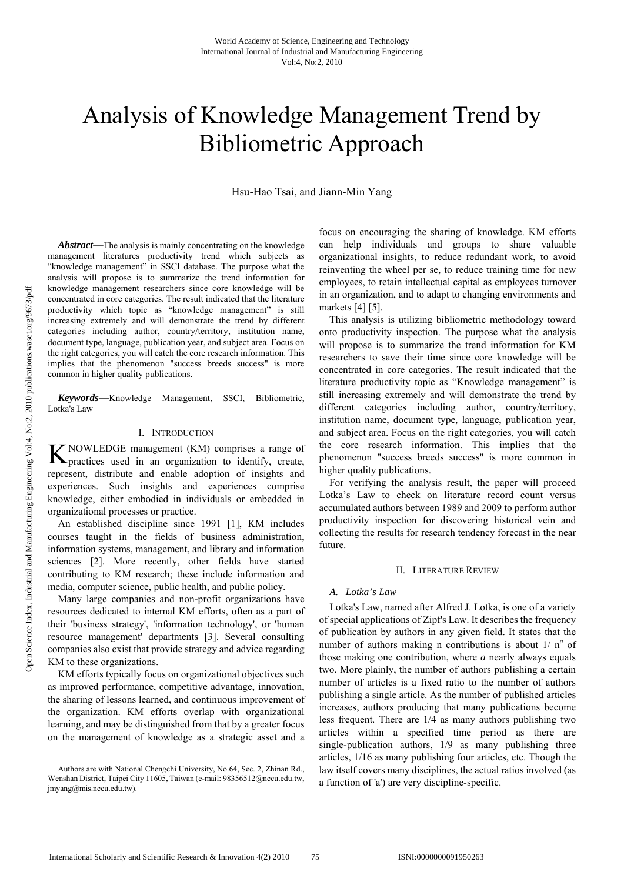# Analysis of Knowledge Management Trend by Bibliometric Approach

Hsu-Hao Tsai, and Jiann-Min Yang

*Abstract***—**The analysis is mainly concentrating on the knowledge management literatures productivity trend which subjects as "knowledge management" in SSCI database. The purpose what the analysis will propose is to summarize the trend information for knowledge management researchers since core knowledge will be concentrated in core categories. The result indicated that the literature productivity which topic as "knowledge management" is still increasing extremely and will demonstrate the trend by different categories including author, country/territory, institution name, document type, language, publication year, and subject area. Focus on the right categories, you will catch the core research information. This implies that the phenomenon "success breeds success" is more common in higher quality publications.

*Keywords***—**Knowledge Management, SSCI, Bibliometric, Lotka's Law

# I. INTRODUCTION

NOWLEDGE management (KM) comprises a range of K NOWLEDGE management (KM) comprises a range of practices used in an organization to identify, create, represent, distribute and enable adoption of insights and experiences. Such insights and experiences comprise knowledge, either embodied in individuals or embedded in organizational processes or practice.

An established discipline since 1991 [1], KM includes courses taught in the fields of business administration, information systems, management, and library and information sciences [2]. More recently, other fields have started contributing to KM research; these include information and media, computer science, public health, and public policy.

Many large companies and non-profit organizations have resources dedicated to internal KM efforts, often as a part of their 'business strategy', 'information technology', or 'human resource management' departments [3]. Several consulting companies also exist that provide strategy and advice regarding KM to these organizations.

KM efforts typically focus on organizational objectives such as improved performance, competitive advantage, innovation, the sharing of lessons learned, and continuous improvement of the organization. KM efforts overlap with organizational learning, and may be distinguished from that by a greater focus on the management of knowledge as a strategic asset and a focus on encouraging the sharing of knowledge. KM efforts can help individuals and groups to share valuable organizational insights, to reduce redundant work, to avoid reinventing the wheel per se, to reduce training time for new employees, to retain intellectual capital as employees turnover in an organization, and to adapt to changing environments and markets [4] [5].

This analysis is utilizing bibliometric methodology toward onto productivity inspection. The purpose what the analysis will propose is to summarize the trend information for KM researchers to save their time since core knowledge will be concentrated in core categories. The result indicated that the literature productivity topic as "Knowledge management" is still increasing extremely and will demonstrate the trend by different categories including author, country/territory, institution name, document type, language, publication year, and subject area. Focus on the right categories, you will catch the core research information. This implies that the phenomenon "success breeds success" is more common in higher quality publications.

For verifying the analysis result, the paper will proceed Lotka's Law to check on literature record count versus accumulated authors between 1989 and 2009 to perform author productivity inspection for discovering historical vein and collecting the results for research tendency forecast in the near future.

#### II. LITERATURE REVIEW

#### *A. Lotka's Law*

Lotka's Law, named after Alfred J. Lotka, is one of a variety of special applications of Zipf's Law. It describes the frequency of publication by authors in any given field. It states that the number of authors making n contributions is about 1/ n<sup>a</sup> of those making one contribution, where *a* nearly always equals two. More plainly, the number of authors publishing a certain number of articles is a fixed ratio to the number of authors publishing a single article. As the number of published articles increases, authors producing that many publications become less frequent. There are 1/4 as many authors publishing two articles within a specified time period as there are single-publication authors, 1/9 as many publishing three articles, 1/16 as many publishing four articles, etc. Though the law itself covers many disciplines, the actual ratios involved (as a function of 'a') are very discipline-specific.

Authors are with National Chengchi University, No.64, Sec. 2, Zhinan Rd., Wenshan District, Taipei City 11605, Taiwan (e-mail: 98356512@nccu.edu.tw, jmyang@mis.nccu.edu.tw).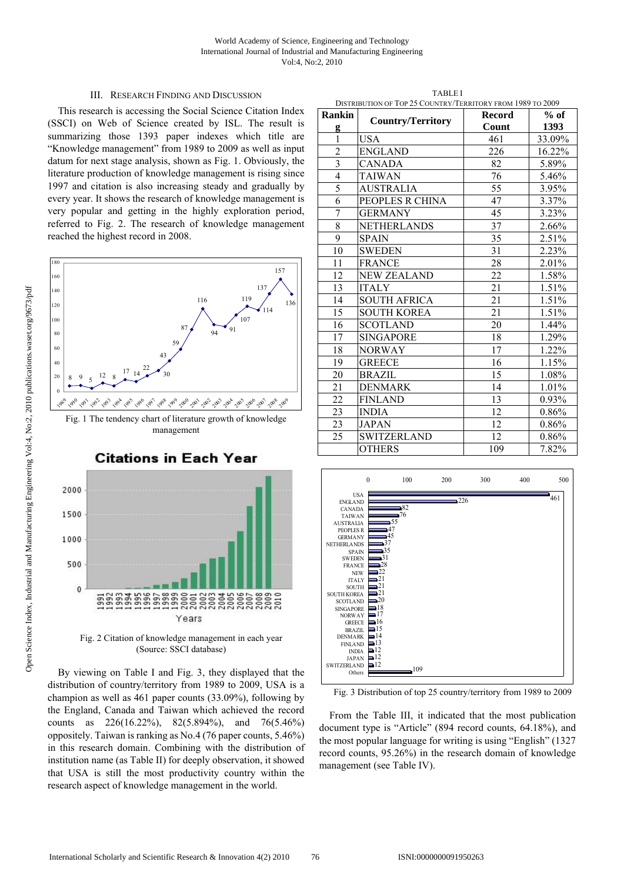## III. RESEARCH FINDING AND DISCUSSION

This research is accessing the Social Science Citation Index (SSCI) on Web of Science created by ISL. The result is summarizing those 1393 paper indexes which title are "Knowledge management" from 1989 to 2009 as well as input datum for next stage analysis, shown as Fig. 1. Obviously, the literature production of knowledge management is rising since 1997 and citation is also increasing steady and gradually by every year. It shows the research of knowledge management is very popular and getting in the highly exploration period, referred to Fig. 2. The research of knowledge management reached the highest record in 2008.



(Source: SSCI database)

By viewing on Table I and Fig. 3, they displayed that the distribution of country/territory from 1989 to 2009, USA is a champion as well as 461 paper counts (33.09%), following by the England, Canada and Taiwan which achieved the record counts as 226(16.22%), 82(5.894%), and 76(5.46%) oppositely. Taiwan is ranking as No.4 (76 paper counts, 5.46%) in this research domain. Combining with the distribution of institution name (as Table II) for deeply observation, it showed that USA is still the most productivity country within the research aspect of knowledge management in the world.

TABLE I DISTRIBUTION OF TOP 25 COUNTRY/TERRITORY FROM 1989 TO 2009

| Rankin         | <b>DISTRIBUTION OF TOP 25 COUNTRY/TERRITORI TROM 1707</b> | Record | 102007<br>$%$ of |
|----------------|-----------------------------------------------------------|--------|------------------|
| g              | <b>Country/Territory</b>                                  | Count  | 1393             |
| $\mathbf{1}$   | <b>USA</b>                                                | 461    | 33.09%           |
| $\overline{2}$ | <b>ENGLAND</b>                                            | 226    | 16.22%           |
|                | <b>CANADA</b>                                             | 82     | 5.89%            |
| $\overline{4}$ | <b>TAIWAN</b>                                             | 76     | 5.46%            |
| $\overline{5}$ | <b>AUSTRALIA</b>                                          | 55     | 3.95%            |
| 6              | PEOPLES R CHINA                                           | 47     | 3.37%            |
| 7              | <b>GERMANY</b>                                            | 45     | 3.23%            |
| 8              | <b>NETHERLANDS</b>                                        | 37     | 2.66%            |
| $\overline{9}$ | <b>SPAIN</b>                                              | 35     | 2.51%            |
| 10             | <b>SWEDEN</b>                                             | 31     | 2.23%            |
| 11             | <b>FRANCE</b>                                             | 28     | 2.01%            |
| 12             | <b>NEW ZEALAND</b>                                        | 22     | 1.58%            |
| 13             | <b>ITALY</b>                                              | 21     | 1.51%            |
| 14             | <b>SOUTH AFRICA</b>                                       | 21     | 1.51%            |
| 15             | <b>SOUTH KOREA</b>                                        | 21     | 1.51%            |
| 16             | <b>SCOTLAND</b>                                           | 20     | 1.44%            |
| 17             | <b>SINGAPORE</b>                                          | 18     | 1.29%            |
| 18             | <b>NORWAY</b>                                             | 17     | 1.22%            |
| 19             | <b>GREECE</b>                                             | 16     | 1.15%            |
| 20             | <b>BRAZIL</b>                                             | 15     | 1.08%            |
| 21             | <b>DENMARK</b>                                            | 14     | 1.01%            |
| 22             | <b>FINLAND</b>                                            | 13     | 0.93%            |
| 23             | <b>INDIA</b>                                              | 12     | 0.86%            |
| 23             | <b>JAPAN</b>                                              | 12     | 0.86%            |
| 25             | <b>SWITZERLAND</b>                                        | 12     | 0.86%            |
|                | <b>OTHERS</b>                                             | 109    | 7.82%            |



Fig. 3 Distribution of top 25 country/territory from 1989 to 2009

From the Table III, it indicated that the most publication document type is "Article" (894 record counts, 64.18%), and the most popular language for writing is using "English" (1327 record counts, 95.26%) in the research domain of knowledge management (see Table IV).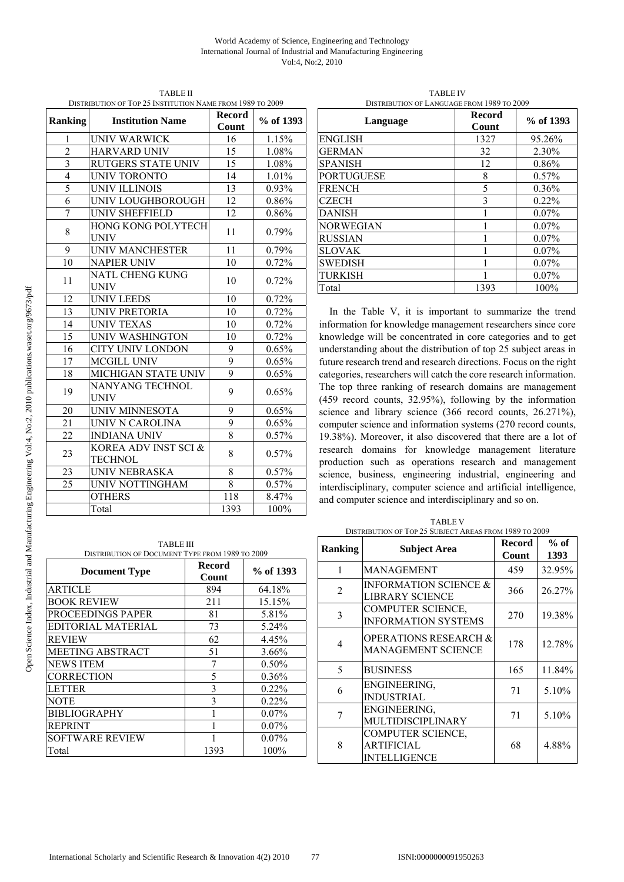#### World Academy of Science, Engineering and Technology International Journal of Industrial and Manufacturing Engineering Vol:4, No:2, 2010

| <b>Ranking</b> | <b>Institution Name</b>                | <b>Record</b><br>Count | % of 1393 |
|----------------|----------------------------------------|------------------------|-----------|
| 1              | UNIV WARWICK                           | 16                     | 1.15%     |
| $\overline{2}$ | <b>HARVARD UNIV</b>                    | 15                     | 1.08%     |
| $\overline{3}$ | <b>RUTGERS STATE UNIV</b>              | 15                     | $1.08\%$  |
| $\overline{4}$ | <b>UNIV TORONTO</b>                    | 14                     | 1.01%     |
| 5              | <b>UNIV ILLINOIS</b>                   | 13                     | 0.93%     |
| 6              | UNIV LOUGHBOROUGH                      | 12                     | 0.86%     |
| 7              | UNIV SHEFFIELD                         | 12                     | 0.86%     |
| 8              | HONG KONG POLYTECH<br><b>UNIV</b>      | 11                     | 0.79%     |
| 9              | <b>UNIV MANCHESTER</b>                 | 11                     | 0.79%     |
| 10             | <b>NAPIER UNIV</b>                     | 10                     | 0.72%     |
| 11             | <b>NATL CHENG KUNG</b><br><b>UNIV</b>  | 10                     | 0.72%     |
| 12             | <b>UNIV LEEDS</b>                      | 10                     | 0.72%     |
| 13             | UNIV PRETORIA                          | 10                     | 0.72%     |
| 14             | <b>UNIV TEXAS</b>                      | 10                     | 0.72%     |
| 15             | UNIV WASHINGTON                        | 10                     | 0.72%     |
| 16             | <b>CITY UNIV LONDON</b>                | 9                      | 0.65%     |
| 17             | <b>MCGILL UNIV</b>                     | 9                      | 0.65%     |
| 18             | MICHIGAN STATE UNIV                    | 9                      | 0.65%     |
| 19             | NANYANG TECHNOL<br><b>UNIV</b>         | 9                      | 0.65%     |
| 20             | UNIV MINNESOTA                         | 9                      | 0.65%     |
| 21             | UNIV N CAROLINA                        | 9                      | 0.65%     |
| 22             | <b>INDIANA UNIV</b>                    | $\overline{8}$         | 0.57%     |
| 23             | KOREA ADV INST SCI &<br><b>TECHNOL</b> | 8                      | 0.57%     |
| 23             | <b>UNIV NEBRASKA</b>                   | 8                      | 0.57%     |
| 25             | UNIV NOTTINGHAM                        | 8                      | 0.57%     |
|                | <b>OTHERS</b>                          | 118                    | 8.47%     |
|                | Total                                  | 1393                   | 100%      |

TABLE II DISTRIBUTION OF TOP 25 INSTITUTION NAME FROM 1989 TO 2009

TABLE IV DISTRIBUTION OF LANGUAGE FROM 1989 TO 2009

| Language          | <b>Record</b><br>Count | % of 1393 |
|-------------------|------------------------|-----------|
| <b>ENGLISH</b>    | 1327                   | 95.26%    |
| <b>GERMAN</b>     | 32                     | 2.30%     |
| <b>SPANISH</b>    | 12                     | 0.86%     |
| <b>PORTUGUESE</b> | 8                      | 0.57%     |
| <b>FRENCH</b>     | 5                      | $0.36\%$  |
| <b>CZECH</b>      | 3                      | $0.22\%$  |
| <b>DANISH</b>     |                        | $0.07\%$  |
| NORWEGIAN         |                        | 0.07%     |
| <b>RUSSIAN</b>    |                        | $0.07\%$  |
| <b>SLOVAK</b>     |                        | $0.07\%$  |
| <b>SWEDISH</b>    |                        | $0.07\%$  |
| <b>TURKISH</b>    |                        | $0.07\%$  |
| Total             | 1393                   | 100%      |

In the Table V, it is important to summarize the trend information for knowledge management researchers since core knowledge will be concentrated in core categories and to get understanding about the distribution of top 25 subject areas in future research trend and research directions. Focus on the right categories, researchers will catch the core research information. The top three ranking of research domains are management (459 record counts, 32.95%), following by the information science and library science (366 record counts, 26.271%), computer science and information systems (270 record counts, 19.38%). Moreover, it also discovered that there are a lot of research domains for knowledge management literature production such as operations research and management science, business, engineering industrial, engineering and interdisciplinary, computer science and artificial intelligence, and computer science and interdisciplinary and so on.

| <b>TABLE III</b><br>DISTRIBUTION OF DOCUMENT TYPE FROM 1989 TO 2009 |                        |           |  |  |  |
|---------------------------------------------------------------------|------------------------|-----------|--|--|--|
| <b>Document Type</b>                                                | <b>Record</b><br>Count | % of 1393 |  |  |  |
| ARTICLE                                                             | 894                    | 64.18%    |  |  |  |
| <b>BOOK REVIEW</b>                                                  | 211                    | 15.15%    |  |  |  |
| PROCEEDINGS PAPER                                                   | 81                     | 5.81%     |  |  |  |
| EDITORIAL MATERIAL                                                  | 73                     | 5.24%     |  |  |  |
| REVIEW                                                              | 62                     | 4.45%     |  |  |  |
| <b>MEETING ABSTRACT</b>                                             | 51                     | 3.66%     |  |  |  |
| <b>NEWS ITEM</b>                                                    | 7                      | $0.50\%$  |  |  |  |
| CORRECTION                                                          | 5                      | 0.36%     |  |  |  |
| LETTER                                                              | 3                      | $0.22\%$  |  |  |  |
| NOTE                                                                | 3                      | $0.22\%$  |  |  |  |
| BIBLIOGRAPHY                                                        |                        | $0.07\%$  |  |  |  |
| <b>REPRINT</b>                                                      |                        | $0.07\%$  |  |  |  |
| <b>SOFTWARE REVIEW</b>                                              |                        | $0.07\%$  |  |  |  |
| Total                                                               | 1393                   | 100%      |  |  |  |
|                                                                     |                        |           |  |  |  |

TABLE V DISTRIBUTION OF TOP 25 SUBJECT AREAS FROM 1989 TO 2009

| <b>Ranking</b> | <b>Subject Area</b>                                           | <b>Record</b><br>Count | $%$ of<br>1393 |
|----------------|---------------------------------------------------------------|------------------------|----------------|
| 1              | <b>MANAGEMENT</b>                                             | 459                    | 32.95%         |
| 2              | <b>INFORMATION SCIENCE &amp;</b><br>LIBRARY SCIENCE           | 366                    | 26.27%         |
| 3              | <b>COMPUTER SCIENCE,</b><br><b>INFORMATION SYSTEMS</b>        | 270                    | 19.38%         |
| 4              | <b>OPERATIONS RESEARCH &amp;</b><br><b>MANAGEMENT SCIENCE</b> | 178                    | 12.78%         |
| 5              | <b>BUSINESS</b>                                               | 165                    | 11.84%         |
| 6              | ENGINEERING,<br><b>INDUSTRIAL</b>                             | 71                     | 5.10%          |
| 7              | ENGINEERING,<br>MULTIDISCIPLINARY                             | 71                     | 5.10%          |
| 8              | <b>COMPUTER SCIENCE,</b><br><b>ARTIFICIAL</b><br>INTELLIGENCE | 68                     | 4.88%          |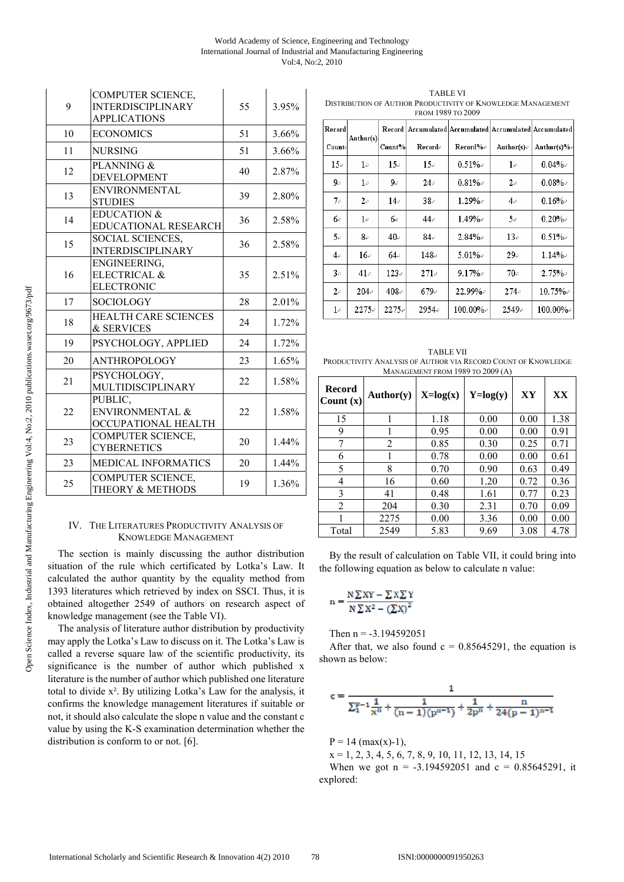#### World Academy of Science, Engineering and Technology International Journal of Industrial and Manufacturing Engineering Vol:4, No:2, 2010

| 9  | <b>COMPUTER SCIENCE,</b><br><b>INTERDISCIPLINARY</b><br><b>APPLICATIONS</b> | 55 | 3.95% |
|----|-----------------------------------------------------------------------------|----|-------|
| 10 | <b>ECONOMICS</b>                                                            | 51 | 3.66% |
| 11 | <b>NURSING</b>                                                              | 51 | 3.66% |
| 12 | PLANNING &<br><b>DEVELOPMENT</b>                                            | 40 | 2.87% |
| 13 | <b>ENVIRONMENTAL</b><br><b>STUDIES</b>                                      | 39 | 2.80% |
| 14 | <b>EDUCATION &amp;</b><br>EDUCATIONAL RESEARCH                              | 36 | 2.58% |
| 15 | SOCIAL SCIENCES,<br><b>INTERDISCIPLINARY</b>                                | 36 | 2.58% |
| 16 | ENGINEERING,<br>ELECTRICAL &<br><b>ELECTRONIC</b>                           | 35 | 2.51% |
| 17 | <b>SOCIOLOGY</b>                                                            | 28 | 2.01% |
| 18 | <b>HEALTH CARE SCIENCES</b><br>& SERVICES                                   | 24 | 1.72% |
| 19 | PSYCHOLOGY, APPLIED                                                         | 24 | 1.72% |
| 20 | <b>ANTHROPOLOGY</b>                                                         | 23 | 1.65% |
| 21 | PSYCHOLOGY,<br>MULTIDISCIPLINARY                                            | 22 | 1.58% |
| 22 | PUBLIC,<br>ENVIRONMENTAL &<br>OCCUPATIONAL HEALTH                           | 22 | 1.58% |
| 23 | COMPUTER SCIENCE,<br><b>CYBERNETICS</b>                                     | 20 | 1.44% |
| 23 | <b>MEDICAL INFORMATICS</b>                                                  | 20 | 1.44% |
| 25 | <b>COMPUTER SCIENCE,</b><br>THEORY & METHODS                                | 19 | 1.36% |

# IV. THE LITERATURES PRODUCTIVITY ANALYSIS OF KNOWLEDGE MANAGEMENT

The section is mainly discussing the author distribution situation of the rule which certificated by Lotka's Law. It calculated the author quantity by the equality method from 1393 literatures which retrieved by index on SSCI. Thus, it is obtained altogether 2549 of authors on research aspect of knowledge management (see the Table VI).

The analysis of literature author distribution by productivity may apply the Lotka's Law to discuss on it. The Lotka's Law is called a reverse square law of the scientific productivity, its significance is the number of author which published x literature is the number of author which published one literature total to divide x². By utilizing Lotka's Law for the analysis, it confirms the knowledge management literatures if suitable or not, it should also calculate the slope n value and the constant c value by using the K-S examination determination whether the distribution is conform to or not. [6].

TABLE VI DISTRIBUTION OF AUTHOR PRODUCTIVITY OF KNOWLEDGE MANAGEMENT FROM 1989 TO 2009

|          | TIVON 1707 TO 4007 |          |            |                         |            |                                                 |
|----------|--------------------|----------|------------|-------------------------|------------|-------------------------------------------------|
| Record   | Author(s)          | Record   |            |                         |            | Accumulated Accumulated Accumulated Accumulated |
| Count∉   |                    | Count%   | Recorde    | $\mathrm{Recard}\% \in$ | Author(s)₽ | Author(s)%e                                     |
| 15e      | $1\epsilon$        | 15e      | 15e        | $0.51\%$                | $1\phi$    | $0.04\%$                                        |
| 9₽       | $1\cdot$           | 90       | 24e        | $0.81\%$                | 2e         | $0.08\%$                                        |
| 70       | 2e                 | $14\phi$ | $38\sigma$ | $1.29\%$                | 4e         | $0.16\%$                                        |
| 60       | $1\epsilon$        | 6е       | $44\phi$   | $1.49\%$                | 50         | $0.20\%$                                        |
| 50       | 8₽                 | 40₽      | 84€        | $2.84\%$                | 13e        | $0.51\%$                                        |
| 4e       | 16₽                | 64e      | 148₽       | $5.01\%$ e              | 29e        | $1.14\%$                                        |
| 3e       | $41\circ$          | 123e     | 271e       | $9.17\%$                | 70e        | $2.75\%$                                        |
| 2e       | 204e               | 408₽     | 679e       | $22.99\%$ e             | 274e       | $10.75\%$                                       |
| $1\cdot$ | 2275₽              | 2275∉    | ⊊954       | $100.00\%$ e            | 2549e      | $100.00\%$ e                                    |

TABLE VII PRODUCTIVITY ANALYSIS OF AUTHOR VIA RECORD COUNT OF KNOWLEDGE MANAGEMENT FROM 1989 TO 2009 (A)

| Record<br>Count $(x)$ | Author(y) | $X = log(x)$ | $Y = log(y)$ | XY   | XX   |
|-----------------------|-----------|--------------|--------------|------|------|
| 15                    |           | 1.18         | 0.00         | 0.00 | 1.38 |
| 9                     |           | 0.95         | 0.00         | 0.00 | 0.91 |
| 7                     | 2         | 0.85         | 0.30         | 0.25 | 0.71 |
| 6                     |           | 0.78         | 0.00         | 0.00 | 0.61 |
| 5                     | 8         | 0.70         | 0.90         | 0.63 | 0.49 |
| 4                     | 16        | 0.60         | 1.20         | 0.72 | 0.36 |
| 3                     | 41        | 0.48         | 1.61         | 0.77 | 0.23 |
| 2                     | 204       | 0.30         | 2.31         | 0.70 | 0.09 |
|                       | 2275      | 0.00         | 3.36         | 0.00 | 0.00 |
| Total                 | 2549      | 5.83         | 9.69         | 3.08 | 4.78 |

By the result of calculation on Table VII, it could bring into the following equation as below to calculate n value:

$$
n = \frac{N \sum XY - \sum X \sum Y}{N \sum X^2 - (\sum X)^2}
$$

Then  $n = -3.194592051$ 

After that, we also found  $c = 0.85645291$ , the equation is shown as below:

$$
c = \frac{1}{\sum_{1}^{p-1} \frac{1}{x^n} + \frac{1}{(n-1)(p^{n-1})} + \frac{1}{2p^n} + \frac{n}{24(p-1)^{n-1}}}
$$

 $P = 14$  (max(x)-1),

 $x = 1, 2, 3, 4, 5, 6, 7, 8, 9, 10, 11, 12, 13, 14, 15$ When we got  $n = -3.194592051$  and  $c = 0.85645291$ , it explored: